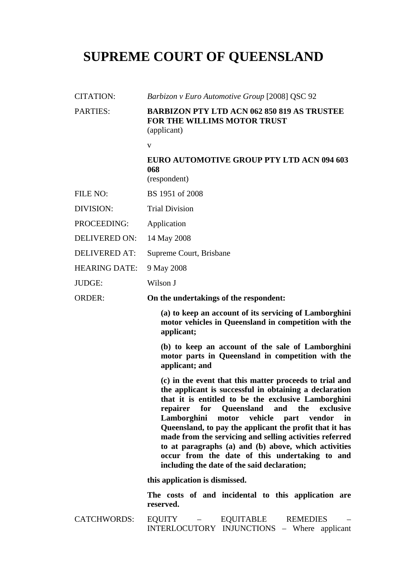## **SUPREME COURT OF QUEENSLAND**

| <b>CITATION:</b>     | Barbizon v Euro Automotive Group [2008] QSC 92                                                                                                                                                                                                                                                                                                                                                                                                                                                                                                         |
|----------------------|--------------------------------------------------------------------------------------------------------------------------------------------------------------------------------------------------------------------------------------------------------------------------------------------------------------------------------------------------------------------------------------------------------------------------------------------------------------------------------------------------------------------------------------------------------|
| <b>PARTIES:</b>      | <b>BARBIZON PTY LTD ACN 062 850 819 AS TRUSTEE</b><br><b>FOR THE WILLIMS MOTOR TRUST</b><br>(applicant)                                                                                                                                                                                                                                                                                                                                                                                                                                                |
|                      | $\mathbf{V}$                                                                                                                                                                                                                                                                                                                                                                                                                                                                                                                                           |
|                      | EURO AUTOMOTIVE GROUP PTY LTD ACN 094 603<br>068<br>(respondent)                                                                                                                                                                                                                                                                                                                                                                                                                                                                                       |
| FILE NO:             | BS 1951 of 2008                                                                                                                                                                                                                                                                                                                                                                                                                                                                                                                                        |
| DIVISION:            | <b>Trial Division</b>                                                                                                                                                                                                                                                                                                                                                                                                                                                                                                                                  |
| PROCEEDING:          | Application                                                                                                                                                                                                                                                                                                                                                                                                                                                                                                                                            |
| <b>DELIVERED ON:</b> | 14 May 2008                                                                                                                                                                                                                                                                                                                                                                                                                                                                                                                                            |
| <b>DELIVERED AT:</b> | Supreme Court, Brisbane                                                                                                                                                                                                                                                                                                                                                                                                                                                                                                                                |
| <b>HEARING DATE:</b> | 9 May 2008                                                                                                                                                                                                                                                                                                                                                                                                                                                                                                                                             |
| <b>JUDGE:</b>        | Wilson J                                                                                                                                                                                                                                                                                                                                                                                                                                                                                                                                               |
| <b>ORDER:</b>        | On the undertakings of the respondent:                                                                                                                                                                                                                                                                                                                                                                                                                                                                                                                 |
|                      | (a) to keep an account of its servicing of Lamborghini<br>motor vehicles in Queensland in competition with the<br>applicant;                                                                                                                                                                                                                                                                                                                                                                                                                           |
|                      | (b) to keep an account of the sale of Lamborghini<br>motor parts in Queensland in competition with the<br>applicant; and                                                                                                                                                                                                                                                                                                                                                                                                                               |
|                      | (c) in the event that this matter proceeds to trial and<br>the applicant is successful in obtaining a declaration<br>that it is entitled to be the exclusive Lamborghini<br>for Queensland and the<br>exclusive<br>repairer<br>Lamborghini motor vehicle part vendor in<br>Queensland, to pay the applicant the profit that it has<br>made from the servicing and selling activities referred<br>to at paragraphs (a) and (b) above, which activities<br>occur from the date of this undertaking to and<br>including the date of the said declaration; |
|                      | this application is dismissed.                                                                                                                                                                                                                                                                                                                                                                                                                                                                                                                         |
|                      | The costs of and incidental to this application are<br>reserved.                                                                                                                                                                                                                                                                                                                                                                                                                                                                                       |
| <b>CATCHWORDS:</b>   | EQUITY – EQUITABLE<br><b>REMEDIES</b><br>INTERLOCUTORY INJUNCTIONS - Where applicant                                                                                                                                                                                                                                                                                                                                                                                                                                                                   |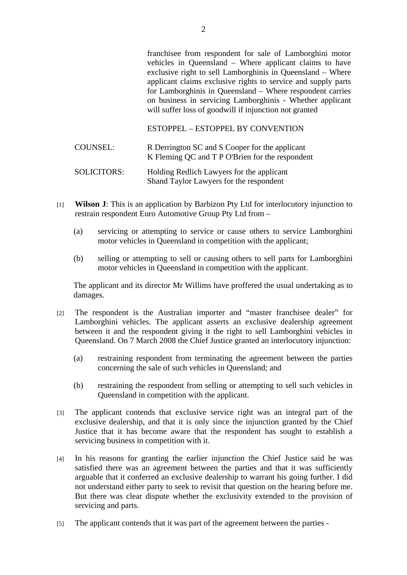franchisee from respondent for sale of Lamborghini motor vehicles in Queensland – Where applicant claims to have exclusive right to sell Lamborghinis in Queensland – Where applicant claims exclusive rights to service and supply parts for Lamborghinis in Queensland – Where respondent carries on business in servicing Lamborghinis - Whether applicant will suffer loss of goodwill if injunction not granted

ESTOPPEL – ESTOPPEL BY CONVENTION

| <b>COUNSEL:</b>    | R Derrington SC and S Cooper for the applicant<br>K Fleming QC and T P O'Brien for the respondent |
|--------------------|---------------------------------------------------------------------------------------------------|
| <b>SOLICITORS:</b> | Holding Redlich Lawyers for the applicant<br>Shand Taylor Lawyers for the respondent              |

- [1] **Wilson J**: This is an application by Barbizon Pty Ltd for interlocutory injunction to restrain respondent Euro Automotive Group Pty Ltd from –
	- (a) servicing or attempting to service or cause others to service Lamborghini motor vehicles in Queensland in competition with the applicant;
	- (b) selling or attempting to sell or causing others to sell parts for Lamborghini motor vehicles in Queensland in competition with the applicant.

The applicant and its director Mr Willims have proffered the usual undertaking as to damages.

- [2] The respondent is the Australian importer and "master franchisee dealer" for Lamborghini vehicles. The applicant asserts an exclusive dealership agreement between it and the respondent giving it the right to sell Lamborghini vehicles in Queensland. On 7 March 2008 the Chief Justice granted an interlocutory injunction:
	- (a) restraining respondent from terminating the agreement between the parties concerning the sale of such vehicles in Queensland; and
	- (b) restraining the respondent from selling or attempting to sell such vehicles in Queensland in competition with the applicant.
- [3] The applicant contends that exclusive service right was an integral part of the exclusive dealership, and that it is only since the injunction granted by the Chief Justice that it has become aware that the respondent has sought to establish a servicing business in competition with it.
- [4] In his reasons for granting the earlier injunction the Chief Justice said he was satisfied there was an agreement between the parties and that it was sufficiently arguable that it conferred an exclusive dealership to warrant his going further. I did not understand either party to seek to revisit that question on the hearing before me. But there was clear dispute whether the exclusivity extended to the provision of servicing and parts.
- [5] The applicant contends that it was part of the agreement between the parties -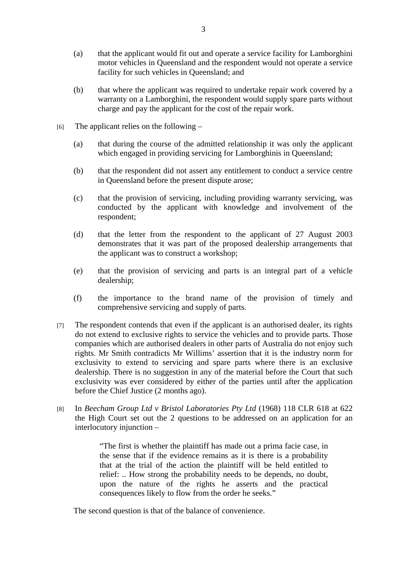- (a) that the applicant would fit out and operate a service facility for Lamborghini motor vehicles in Queensland and the respondent would not operate a service facility for such vehicles in Queensland; and
- (b) that where the applicant was required to undertake repair work covered by a warranty on a Lamborghini, the respondent would supply spare parts without charge and pay the applicant for the cost of the repair work.
- $[6]$  The applicant relies on the following
	- (a) that during the course of the admitted relationship it was only the applicant which engaged in providing servicing for Lamborghinis in Queensland;
	- (b) that the respondent did not assert any entitlement to conduct a service centre in Queensland before the present dispute arose;
	- (c) that the provision of servicing, including providing warranty servicing, was conducted by the applicant with knowledge and involvement of the respondent;
	- (d) that the letter from the respondent to the applicant of 27 August 2003 demonstrates that it was part of the proposed dealership arrangements that the applicant was to construct a workshop;
	- (e) that the provision of servicing and parts is an integral part of a vehicle dealership;
	- (f) the importance to the brand name of the provision of timely and comprehensive servicing and supply of parts.
- [7] The respondent contends that even if the applicant is an authorised dealer, its rights do not extend to exclusive rights to service the vehicles and to provide parts. Those companies which are authorised dealers in other parts of Australia do not enjoy such rights. Mr Smith contradicts Mr Willims' assertion that it is the industry norm for exclusivity to extend to servicing and spare parts where there is an exclusive dealership. There is no suggestion in any of the material before the Court that such exclusivity was ever considered by either of the parties until after the application before the Chief Justice (2 months ago).
- [8] In *Beecham Group Ltd v Bristol Laboratories Pty Ltd* (1968) 118 CLR 618 at 622 the High Court set out the 2 questions to be addressed on an application for an interlocutory injunction –

"The first is whether the plaintiff has made out a prima facie case, in the sense that if the evidence remains as it is there is a probability that at the trial of the action the plaintiff will be held entitled to relief: .. How strong the probability needs to be depends, no doubt, upon the nature of the rights he asserts and the practical consequences likely to flow from the order he seeks."

The second question is that of the balance of convenience.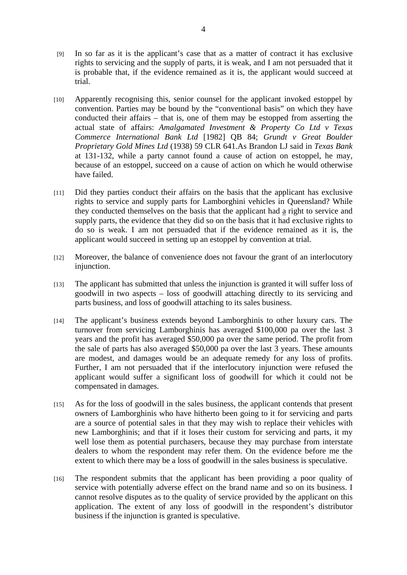- [9] In so far as it is the applicant's case that as a matter of contract it has exclusive rights to servicing and the supply of parts, it is weak, and I am not persuaded that it is probable that, if the evidence remained as it is, the applicant would succeed at trial.
- [10] Apparently recognising this, senior counsel for the applicant invoked estoppel by convention. Parties may be bound by the "conventional basis" on which they have conducted their affairs – that is, one of them may be estopped from asserting the actual state of affairs: *Amalgamated Investment & Property Co Ltd v Texas Commerce International Bank Ltd* [1982] QB 84; *Grundt v Great Boulder Proprietary Gold Mines Ltd* (1938) 59 CLR 641.As Brandon LJ said in *Texas Bank* at 131-132, while a party cannot found a cause of action on estoppel, he may, because of an estoppel, succeed on a cause of action on which he would otherwise have failed.
- [11] Did they parties conduct their affairs on the basis that the applicant has exclusive rights to service and supply parts for Lamborghini vehicles in Queensland? While they conducted themselves on the basis that the applicant had a right to service and supply parts, the evidence that they did so on the basis that it had exclusive rights to do so is weak. I am not persuaded that if the evidence remained as it is, the applicant would succeed in setting up an estoppel by convention at trial.
- [12] Moreover, the balance of convenience does not favour the grant of an interlocutory injunction.
- [13] The applicant has submitted that unless the injunction is granted it will suffer loss of goodwill in two aspects – loss of goodwill attaching directly to its servicing and parts business, and loss of goodwill attaching to its sales business.
- [14] The applicant's business extends beyond Lamborghinis to other luxury cars. The turnover from servicing Lamborghinis has averaged \$100,000 pa over the last 3 years and the profit has averaged \$50,000 pa over the same period. The profit from the sale of parts has also averaged \$50,000 pa over the last 3 years. These amounts are modest, and damages would be an adequate remedy for any loss of profits. Further, I am not persuaded that if the interlocutory injunction were refused the applicant would suffer a significant loss of goodwill for which it could not be compensated in damages.
- [15] As for the loss of goodwill in the sales business, the applicant contends that present owners of Lamborghinis who have hitherto been going to it for servicing and parts are a source of potential sales in that they may wish to replace their vehicles with new Lamborghinis; and that if it loses their custom for servicing and parts, it my well lose them as potential purchasers, because they may purchase from interstate dealers to whom the respondent may refer them. On the evidence before me the extent to which there may be a loss of goodwill in the sales business is speculative.
- [16] The respondent submits that the applicant has been providing a poor quality of service with potentially adverse effect on the brand name and so on its business. I cannot resolve disputes as to the quality of service provided by the applicant on this application. The extent of any loss of goodwill in the respondent's distributor business if the injunction is granted is speculative.